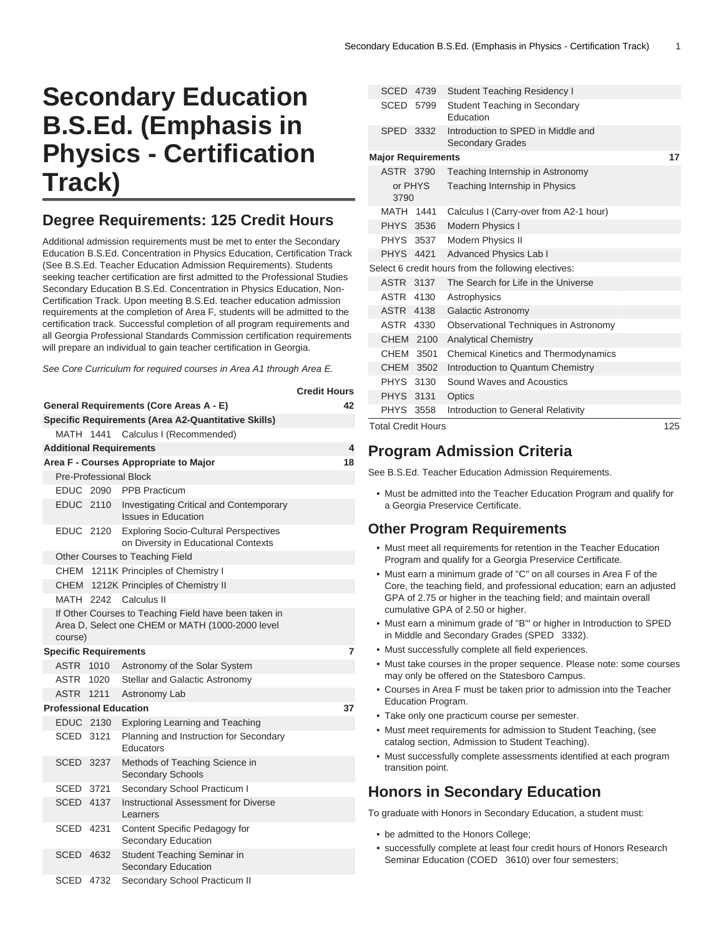# **Secondary Education B.S.Ed. (Emphasis in Physics - Certification Track)**

# **Degree Requirements: 125 Credit Hours**

Additional admission requirements must be met to enter the Secondary Education B.S.Ed. Concentration in Physics Education, Certification Track (See B.S.Ed. Teacher Education Admission Requirements). Students seeking teacher certification are first admitted to the Professional Studies Secondary Education B.S.Ed. Concentration in Physics Education, Non-Certification Track. Upon meeting B.S.Ed. teacher education admission requirements at the completion of Area F, students will be admitted to the certification track. Successful completion of all program requirements and all Georgia Professional Standards Commission certification requirements will prepare an individual to gain teacher certification in Georgia.

See Core Curriculum for required courses in Area A1 through Area E.

|                                     |                                                     |      |                                                                                                           | <b>Credit Hours</b> |  |  |  |  |  |
|-------------------------------------|-----------------------------------------------------|------|-----------------------------------------------------------------------------------------------------------|---------------------|--|--|--|--|--|
|                                     | <b>General Requirements (Core Areas A - E)</b>      | 42   |                                                                                                           |                     |  |  |  |  |  |
|                                     | Specific Requirements (Area A2-Quantitative Skills) |      |                                                                                                           |                     |  |  |  |  |  |
|                                     |                                                     |      | MATH 1441 Calculus I (Recommended)                                                                        |                     |  |  |  |  |  |
| <b>Additional Requirements</b><br>4 |                                                     |      |                                                                                                           |                     |  |  |  |  |  |
|                                     |                                                     |      | Area F - Courses Appropriate to Major                                                                     | 18                  |  |  |  |  |  |
|                                     |                                                     |      | Pre-Professional Block                                                                                    |                     |  |  |  |  |  |
|                                     | EDUC 2090                                           |      | <b>PPB Practicum</b>                                                                                      |                     |  |  |  |  |  |
|                                     | EDUC 2110                                           |      | Investigating Critical and Contemporary<br><b>Issues in Education</b>                                     |                     |  |  |  |  |  |
|                                     | EDUC 2120                                           |      | <b>Exploring Socio-Cultural Perspectives</b><br>on Diversity in Educational Contexts                      |                     |  |  |  |  |  |
|                                     |                                                     |      | Other Courses to Teaching Field                                                                           |                     |  |  |  |  |  |
|                                     |                                                     |      | CHEM 1211K Principles of Chemistry I                                                                      |                     |  |  |  |  |  |
|                                     |                                                     |      | CHEM 1212K Principles of Chemistry II                                                                     |                     |  |  |  |  |  |
|                                     |                                                     |      | MATH 2242 Calculus II                                                                                     |                     |  |  |  |  |  |
|                                     | course)                                             |      | If Other Courses to Teaching Field have been taken in<br>Area D, Select one CHEM or MATH (1000-2000 level |                     |  |  |  |  |  |
| <b>Specific Requirements</b>        |                                                     |      |                                                                                                           |                     |  |  |  |  |  |
|                                     | ASTR 1010                                           |      | Astronomy of the Solar System                                                                             |                     |  |  |  |  |  |
|                                     | ASTR                                                | 1020 | Stellar and Galactic Astronomy                                                                            |                     |  |  |  |  |  |
|                                     | <b>ASTR</b>                                         | 1211 | Astronomy Lab                                                                                             |                     |  |  |  |  |  |
|                                     | <b>Professional Education</b>                       |      |                                                                                                           | 37                  |  |  |  |  |  |
|                                     | EDUC 2130                                           |      | <b>Exploring Learning and Teaching</b>                                                                    |                     |  |  |  |  |  |
|                                     | SCED 3121                                           |      | Planning and Instruction for Secondary<br>Educators                                                       |                     |  |  |  |  |  |
|                                     | SCED 3237                                           |      | Methods of Teaching Science in<br><b>Secondary Schools</b>                                                |                     |  |  |  |  |  |
|                                     | SCED 3721                                           |      | Secondary School Practicum I                                                                              |                     |  |  |  |  |  |
|                                     | <b>SCED 4137</b>                                    |      | Instructional Assessment for Diverse<br>Learners                                                          |                     |  |  |  |  |  |
|                                     | SCED 4231                                           |      | Content Specific Pedagogy for<br>Secondary Education                                                      |                     |  |  |  |  |  |
|                                     | SCED 4632                                           |      | Student Teaching Seminar in<br><b>Secondary Education</b>                                                 |                     |  |  |  |  |  |
|                                     | SCED                                                | 4732 | Secondary School Practicum II                                                                             |                     |  |  |  |  |  |

|                           | <b>Total Credit Hours</b><br>125 |                                                               |  |  |  |
|---------------------------|----------------------------------|---------------------------------------------------------------|--|--|--|
| PHYS 3558                 |                                  | Introduction to General Relativity                            |  |  |  |
| <b>PHYS 3131</b>          |                                  | Optics                                                        |  |  |  |
| PHYS 3130                 |                                  | Sound Waves and Acoustics                                     |  |  |  |
| CHEM 3502                 |                                  | Introduction to Quantum Chemistry                             |  |  |  |
| CHEM 3501                 |                                  | <b>Chemical Kinetics and Thermodynamics</b>                   |  |  |  |
| CHEM 2100                 |                                  | <b>Analytical Chemistry</b>                                   |  |  |  |
| ASTR 4330                 |                                  | Observational Techniques in Astronomy                         |  |  |  |
| <b>ASTR 4138</b>          |                                  | Galactic Astronomy                                            |  |  |  |
| ASTR 4130                 |                                  | Astrophysics                                                  |  |  |  |
| ASTR 3137                 |                                  | The Search for Life in the Universe                           |  |  |  |
|                           |                                  | Select 6 credit hours from the following electives:           |  |  |  |
| <b>PHYS 4421</b>          |                                  | <b>Advanced Physics Lab I</b>                                 |  |  |  |
| <b>PHYS 3537</b>          |                                  | <b>Modern Physics II</b>                                      |  |  |  |
| PHYS 3536                 |                                  | Modern Physics I                                              |  |  |  |
| MATH 1441                 |                                  | Calculus I (Carry-over from A2-1 hour)                        |  |  |  |
| or PHYS<br>3790           |                                  | Teaching Internship in Physics                                |  |  |  |
| <b>ASTR 3790</b>          |                                  | Teaching Internship in Astronomy                              |  |  |  |
| <b>Major Requirements</b> | 17                               |                                                               |  |  |  |
| SPED 3332                 |                                  | Introduction to SPED in Middle and<br><b>Secondary Grades</b> |  |  |  |
|                           | SCED 5799                        | <b>Student Teaching in Secondary</b><br>Education             |  |  |  |
| SCED                      | 4739                             | <b>Student Teaching Residency I</b>                           |  |  |  |

### **Program Admission Criteria**

See B.S.Ed. Teacher Education Admission Requirements.

• Must be admitted into the Teacher Education Program and qualify for a Georgia Preservice Certificate.

#### **Other Program Requirements**

- Must meet all requirements for retention in the Teacher Education Program and qualify for a Georgia Preservice Certificate.
- Must earn a minimum grade of "C" on all courses in Area F of the Core, the teaching field, and professional education; earn an adjusted GPA of 2.75 or higher in the teaching field; and maintain overall cumulative GPA of 2.50 or higher.
- Must earn a minimum grade of "B'" or higher in Introduction to SPED in Middle and Secondary Grades (SPED 3332).
- Must successfully complete all field experiences.
- Must take courses in the proper sequence. Please note: some courses may only be offered on the Statesboro Campus.
- Courses in Area F must be taken prior to admission into the Teacher Education Program.
- Take only one practicum course per semester.
- Must meet requirements for admission to Student Teaching, (see catalog section, Admission to Student Teaching).
- Must successfully complete assessments identified at each program transition point.

# **Honors in Secondary Education**

To graduate with Honors in Secondary Education, a student must:

- be admitted to the Honors College;
- successfully complete at least four credit hours of Honors Research Seminar Education (COED 3610) over four semesters;